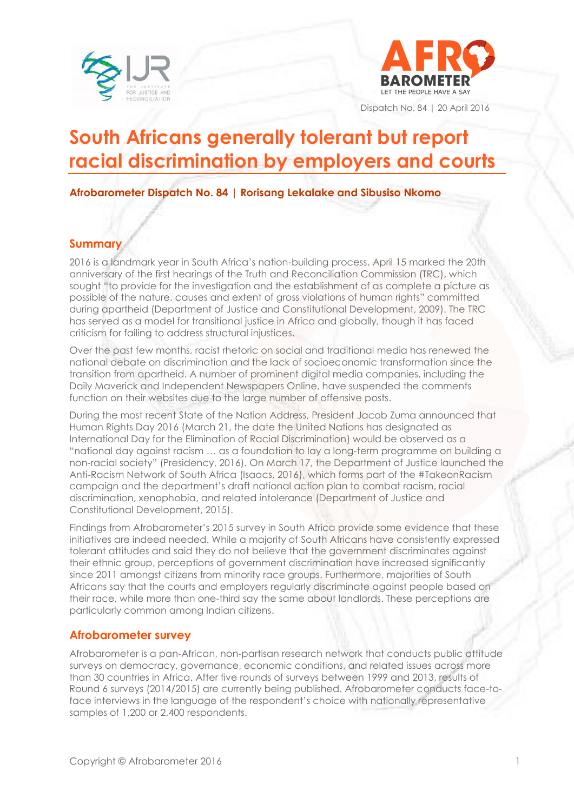



Dispatch No. 84 | 20 April 2016

# **South Africans generally tolerant but report racial discrimination by employers and courts**

**Afrobarometer Dispatch No. 84 | Rorisang Lekalake and Sibusiso Nkomo**

#### **Summary**

2016 is a landmark year in South Africa's nation-building process. April 15 marked the 20th anniversary of the first hearings of the Truth and Reconciliation Commission (TRC), which sought "to provide for the investigation and the establishment of as complete a picture as possible of the nature, causes and extent of gross violations of human rights" committed during apartheid (Department of Justice and Constitutional Development, 2009). The TRC has served as a model for transitional justice in Africa and globally, though it has faced criticism for failing to address structural injustices.

Over the past few months, racist rhetoric on social and traditional media has renewed the national debate on discrimination and the lack of socioeconomic transformation since the transition from apartheid. A number of prominent digital media companies, including the Daily Maverick and Independent Newspapers Online, have suspended the comments function on their websites due to the large number of offensive posts.

During the most recent State of the Nation Address, President Jacob Zuma announced that Human Rights Day 2016 (March 21, the date the United Nations has designated as International Day for the Elimination of Racial Discrimination) would be observed as a "national day against racism … as a foundation to lay a long-term programme on building a non-racial society" (Presidency, 2016). On March 17, the Department of Justice launched the Anti-Racism Network of South Africa (Isaacs, 2016), which forms part of the #TakeonRacism campaign and the department's draft national action plan to combat racism, racial discrimination, xenophobia, and related intolerance (Department of Justice and Constitutional Development, 2015).

Findings from Afrobarometer's 2015 survey in South Africa provide some evidence that these initiatives are indeed needed. While a majority of South Africans have consistently expressed tolerant attitudes and said they do not believe that the government discriminates against their ethnic group, perceptions of government discrimination have increased significantly since 2011 amongst citizens from minority race groups. Furthermore, majorities of South Africans say that the courts and employers regularly discriminate against people based on their race, while more than one-third say the same about landlords. These perceptions are particularly common among Indian citizens.

### **Afrobarometer survey**

Afrobarometer is a pan-African, non-partisan research network that conducts public attitude surveys on democracy, governance, economic conditions, and related issues across more than 30 countries in Africa. After five rounds of surveys between 1999 and 2013, results of Round 6 surveys (2014/2015) are currently being published. Afrobarometer conducts face-toface interviews in the language of the respondent's choice with nationally representative samples of 1,200 or 2,400 respondents.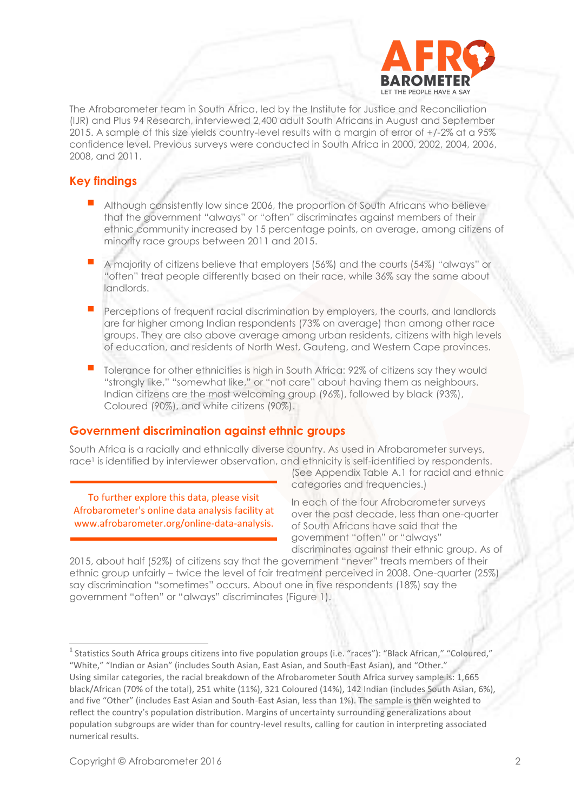

The Afrobarometer team in South Africa, led by the Institute for Justice and Reconciliation (IJR) and Plus 94 Research, interviewed 2,400 adult South Africans in August and September 2015. A sample of this size yields country-level results with a margin of error of +/-2% at a 95% confidence level. Previous surveys were conducted in South Africa in 2000, 2002, 2004, 2006, 2008, and 2011.

#### **Key findings**

- Although consistently low since 2006, the proportion of South Africans who believe that the government "always" or "often" discriminates against members of their ethnic community increased by 15 percentage points, on average, among citizens of minority race groups between 2011 and 2015.
- A majority of citizens believe that employers (56%) and the courts (54%) "always" or "often" treat people differently based on their race, while 36% say the same about landlords.
- Perceptions of frequent racial discrimination by employers, the courts, and landlords are far higher among Indian respondents (73% on average) than among other race groups. They are also above average among urban residents, citizens with high levels of education, and residents of North West, Gauteng, and Western Cape provinces.
- Tolerance for other ethnicities is high in South Africa: 92% of citizens say they would "strongly like," "somewhat like," or "not care" about having them as neighbours. Indian citizens are the most welcoming group (96%), followed by black (93%), Coloured (90%), and white citizens (90%).

#### **Government discrimination against ethnic groups**

South Africa is a racially and ethnically diverse country. As used in Afrobarometer surveys, race<sup>1</sup> is identified by interviewer observation, and ethnicity is self-identified by respondents.

To further explore this data, please visit Afrobarometer's online data analysis facility at www.afrobarometer.org/online-data-analysis.

(See Appendix Table A.1 for racial and ethnic categories and frequencies.)

In each of the four Afrobarometer surveys over the past decade, less than one-quarter of South Africans have said that the government "often" or "always" discriminates against their ethnic group. As of

2015, about half (52%) of citizens say that the government "never" treats members of their ethnic group unfairly – twice the level of fair treatment perceived in 2008. One-quarter (25%) say discrimination "sometimes" occurs. About one in five respondents (18%) say the government "often" or "always" discriminates (Figure 1).

<sup>&</sup>lt;sup>1</sup> Statistics South Africa groups citizens into five population groups (i.e. "races"): "Black African," "Coloured," "White," "Indian or Asian" (includes South Asian, East Asian, and South-East Asian), and "Other." Using similar categories, the racial breakdown of the Afrobarometer South Africa survey sample is: 1,665 black/African (70% of the total), 251 white (11%), 321 Coloured (14%), 142 Indian (includes South Asian, 6%), and five "Other" (includes East Asian and South-East Asian, less than 1%). The sample is then weighted to reflect the country's population distribution. Margins of uncertainty surrounding generalizations about population subgroups are wider than for country-level results, calling for caution in interpreting associated numerical results.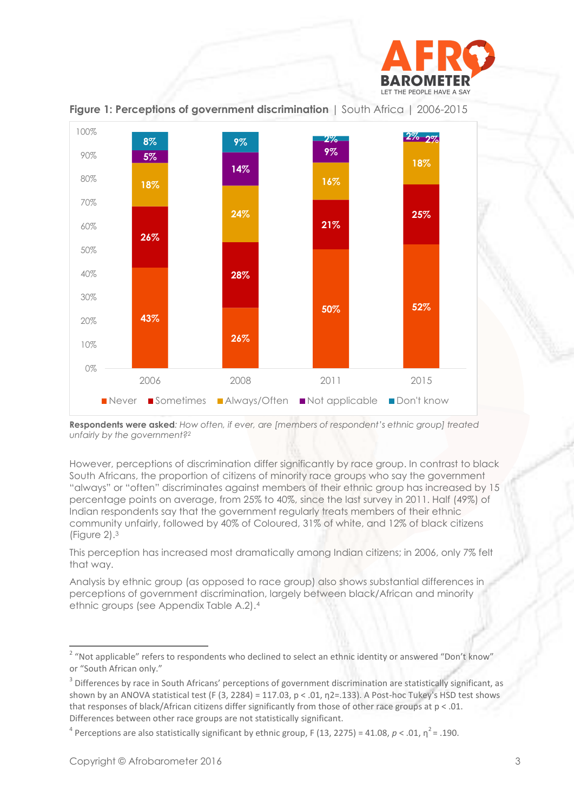



**Figure 1: Perceptions of government discrimination** | South Africa | 2006-2015

**Respondents were asked***: How often, if ever, are [members of respondent's ethnic group] treated unfairly by the government?<sup>2</sup>*

However, perceptions of discrimination differ significantly by race group. In contrast to black South Africans, the proportion of citizens of minority race groups who say the government "always" or "often" discriminates against members of their ethnic group has increased by 15 percentage points on average, from 25% to 40%, since the last survey in 2011. Half (49%) of Indian respondents say that the government regularly treats members of their ethnic community unfairly, followed by 40% of Coloured, 31% of white, and 12% of black citizens (Figure 2).<sup>3</sup>

This perception has increased most dramatically among Indian citizens; in 2006, only 7% felt that way.

Analysis by ethnic group (as opposed to race group) also shows substantial differences in perceptions of government discrimination, largely between black/African and minority ethnic groups (see Appendix Table A.2).<sup>4</sup>

<sup>&</sup>lt;sup>2</sup> "Not applicable" refers to respondents who declined to select an ethnic identity or answered "Don't know" or "South African only."

 $3$  Differences by race in South Africans' perceptions of government discrimination are statistically significant, as shown by an ANOVA statistical test (F (3, 2284) = 117.03, p < .01, n2=.133). A Post-hoc Tukey's HSD test shows that responses of black/African citizens differ significantly from those of other race groups at  $p < .01$ . Differences between other race groups are not statistically significant.

<sup>&</sup>lt;sup>4</sup> Perceptions are also statistically significant by ethnic group, F (13, 2275) = 41.08,  $p < .01$ ,  $\eta^2$  = .190.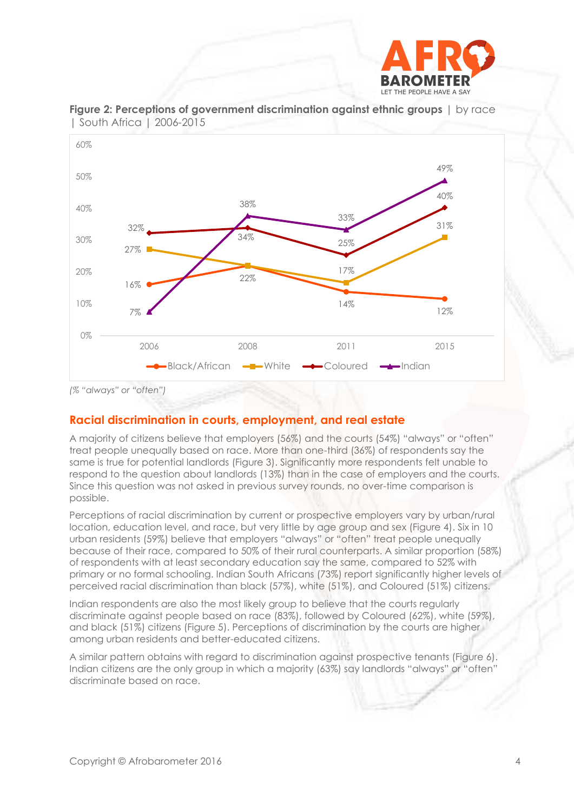



**Figure 2: Perceptions of government discrimination against ethnic groups** | by race | South Africa | 2006-2015

#### **Racial discrimination in courts, employment, and real estate**

A majority of citizens believe that employers (56%) and the courts (54%) "always" or "often" treat people unequally based on race. More than one-third (36%) of respondents say the same is true for potential landlords (Figure 3). Significantly more respondents felt unable to respond to the question about landlords (13%) than in the case of employers and the courts. Since this question was not asked in previous survey rounds, no over-time comparison is possible.

Perceptions of racial discrimination by current or prospective employers vary by urban/rural location, education level, and race, but very little by age group and sex (Figure 4). Six in 10 urban residents (59%) believe that employers "always" or "often" treat people unequally because of their race, compared to 50% of their rural counterparts. A similar proportion (58%) of respondents with at least secondary education say the same, compared to 52% with primary or no formal schooling. Indian South Africans (73%) report significantly higher levels of perceived racial discrimination than black (57%), white (51%), and Coloured (51%) citizens.

Indian respondents are also the most likely group to believe that the courts regularly discriminate against people based on race (83%), followed by Coloured (62%), white (59%), and black (51%) citizens (Figure 5). Perceptions of discrimination by the courts are higher among urban residents and better-educated citizens.

A similar pattern obtains with regard to discrimination against prospective tenants (Figure 6). Indian citizens are the only group in which a majority (63%) say landlords "always" or "often" discriminate based on race.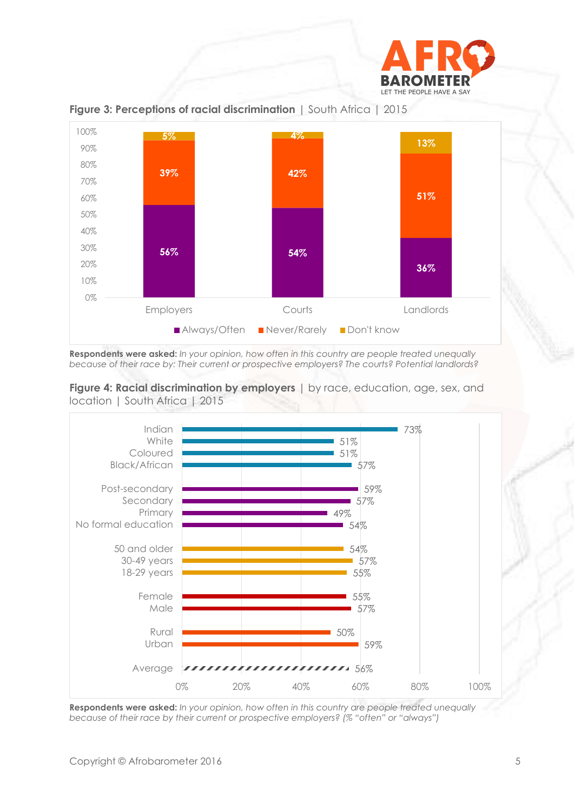



**Figure 3: Perceptions of racial discrimination** | South Africa | 2015

**Respondents were asked:** *In your opinion, how often in this country are people treated unequally because of their race by: Their current or prospective employers? The courts? Potential landlords?*





**Respondents were asked:** *In your opinion, how often in this country are people treated unequally because of their race by their current or prospective employers? (% "often" or "always")*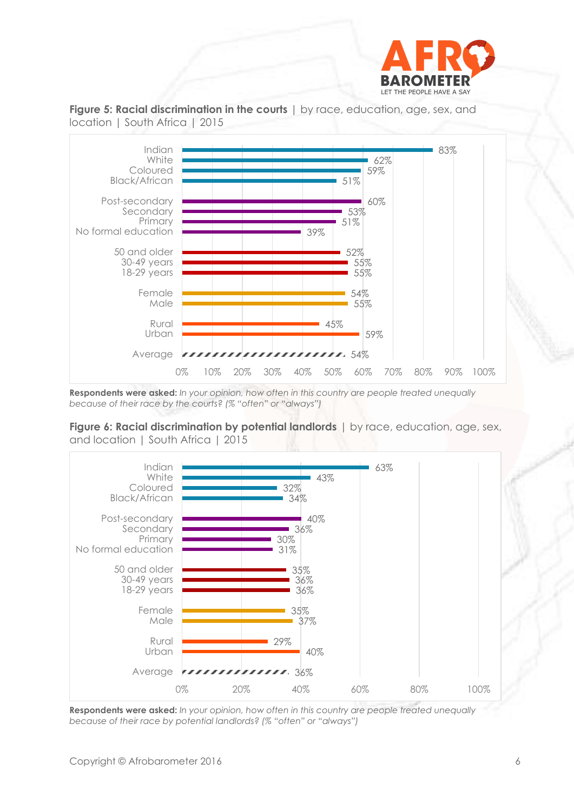



**Figure 5: Racial discrimination in the courts** | by race, education, age, sex, and

**Respondents were asked:** *In your opinion, how often in this country are people treated unequally because of their race by the courts? (% "often" or "always")*

**Figure 6: Racial discrimination by potential landlords** | by race, education, age, sex, and location | South Africa | 2015



**Respondents were asked:** *In your opinion, how often in this country are people treated unequally because of their race by potential landlords? (% "often" or "always")*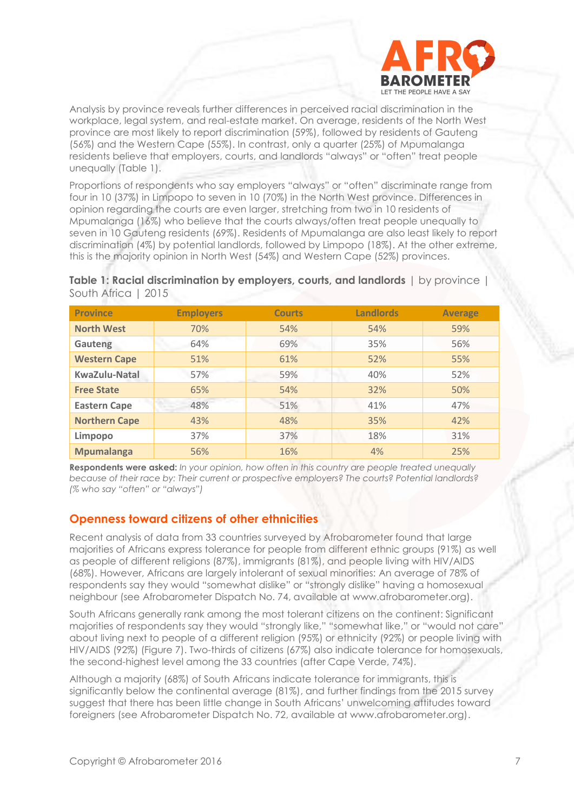

Analysis by province reveals further differences in perceived racial discrimination in the workplace, legal system, and real-estate market. On average, residents of the North West province are most likely to report discrimination (59%), followed by residents of Gauteng (56%) and the Western Cape (55%). In contrast, only a quarter (25%) of Mpumalanga residents believe that employers, courts, and landlords "always" or "often" treat people unequally (Table 1).

Proportions of respondents who say employers "always" or "often" discriminate range from four in 10 (37%) in Limpopo to seven in 10 (70%) in the North West province. Differences in opinion regarding the courts are even larger, stretching from two in 10 residents of Mpumalanga (16%) who believe that the courts always/often treat people unequally to seven in 10 Gauteng residents (69%). Residents of Mpumalanga are also least likely to report discrimination (4%) by potential landlords, followed by Limpopo (18%). At the other extreme, this is the majority opinion in North West (54%) and Western Cape (52%) provinces.

**Table 1: Racial discrimination by employers, courts, and landlords** | by province | South Africa | 2015

| <b>Province</b>      | <b>Employers</b> | <b>Courts</b> | <b>Landlords</b> | <b>Average</b> |
|----------------------|------------------|---------------|------------------|----------------|
| <b>North West</b>    | 70%              | 54%           | 54%              | 59%            |
| Gauteng              | 64%              | 69%           | 35%              | 56%            |
| <b>Western Cape</b>  | 51%              | 61%           | 52%              | 55%            |
| KwaZulu-Natal        | 57%              | 59%           | 40%              | 52%            |
| <b>Free State</b>    | 65%              | 54%           | 32%              | 50%            |
| <b>Eastern Cape</b>  | 48%              | 51%           | 41%              | 47%            |
| <b>Northern Cape</b> | 43%              | 48%           | 35%              | 42%            |
| Limpopo              | 37%              | 37%           | 18%              | 31%            |
| <b>Mpumalanga</b>    | 56%              | 16%           | 4%               | 25%            |

**Respondents were asked:** *In your opinion, how often in this country are people treated unequally because of their race by: Their current or prospective employers? The courts? Potential landlords? (% who say "often" or "always")*

#### **Openness toward citizens of other ethnicities**

Recent analysis of data from 33 countries surveyed by Afrobarometer found that large majorities of Africans express tolerance for people from different ethnic groups (91%) as well as people of different religions (87%), immigrants (81%), and people living with HIV/AIDS (68%). However, Africans are largely intolerant of sexual minorities: An average of 78% of respondents say they would "somewhat dislike" or "strongly dislike" having a homosexual neighbour (see Afrobarometer Dispatch No. 74, available at www.afrobarometer.org).

South Africans generally rank among the most tolerant citizens on the continent: Significant majorities of respondents say they would "strongly like," "somewhat like," or "would not care" about living next to people of a different religion (95%) or ethnicity (92%) or people living with HIV/AIDS (92%) (Figure 7). Two-thirds of citizens (67%) also indicate tolerance for homosexuals, the second-highest level among the 33 countries (after Cape Verde, 74%).

Although a majority (68%) of South Africans indicate tolerance for immigrants, this is significantly below the continental average (81%), and further findings from the 2015 survey suggest that there has been little change in South Africans' unwelcoming attitudes toward foreigners (see Afrobarometer Dispatch No. 72, available at www.afrobarometer.org).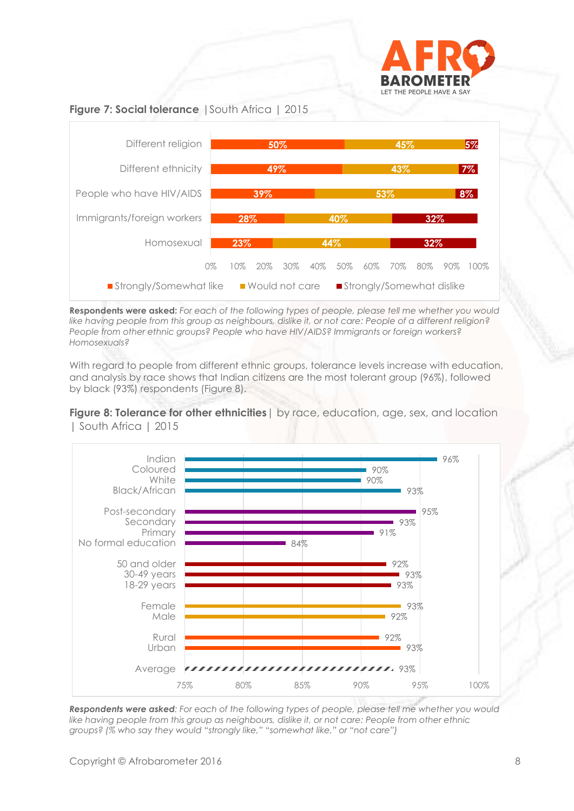





**Respondents were asked:** *For each of the following types of people, please tell me whether you would like having people from this group as neighbours, dislike it, or not care: People of a different religion? People from other ethnic groups? People who have HIV/AIDS? Immigrants or foreign workers? Homosexuals?*

With regard to people from different ethnic groups, tolerance levels increase with education, and analysis by race shows that Indian citizens are the most tolerant group (96%), followed by black (93%) respondents (Figure 8).

**Figure 8: Tolerance for other ethnicities** | by race, education, age, sex, and location | South Africa | 2015



*Respondents were asked: For each of the following types of people, please tell me whether you would like having people from this group as neighbours, dislike it, or not care: People from other ethnic groups? (% who say they would "strongly like," "somewhat like," or "not care")*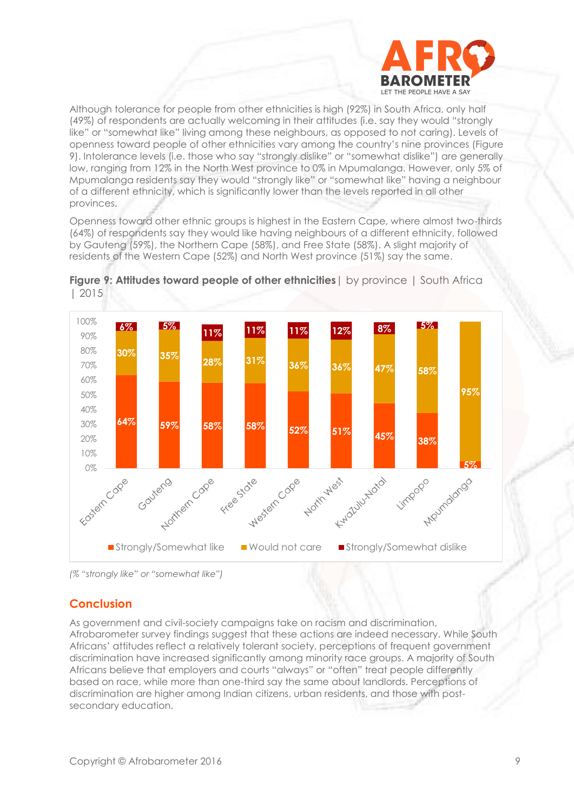

Although tolerance for people from other ethnicities is high (92%) in South Africa, only half (49%) of respondents are actually welcoming in their attitudes (i.e. say they would "strongly like" or "somewhat like" living among these neighbours, as opposed to not caring). Levels of openness toward people of other ethnicities vary among the country's nine provinces (Figure 9). Intolerance levels (i.e. those who say "strongly dislike" or "somewhat dislike") are generally low, ranging from 12% in the North West province to 0% in Mpumalanga. However, only 5% of Mpumalanga residents say they would "strongly like" or "somewhat like" having a neighbour of a different ethnicity, which is significantly lower than the levels reported in all other provinces.

Openness toward other ethnic groups is highest in the Eastern Cape, where almost two-thirds (64%) of respondents say they would like having neighbours of a different ethnicity, followed by Gauteng (59%), the Northern Cape (58%), and Free State (58%). A slight majority of residents of the Western Cape (52%) and North West province (51%) say the same.



**Figure 9: Attitudes toward people of other ethnicities**| by province | South Africa | 2015

*(% "strongly like" or "somewhat like")*

#### **Conclusion**

As government and civil-society campaigns take on racism and discrimination, Afrobarometer survey findings suggest that these actions are indeed necessary. While South Africans' attitudes reflect a relatively tolerant society, perceptions of frequent government discrimination have increased significantly among minority race groups. A majority of South Africans believe that employers and courts "always" or "often" treat people differently based on race, while more than one-third say the same about landlords. Perceptions of discrimination are higher among Indian citizens, urban residents, and those with postsecondary education.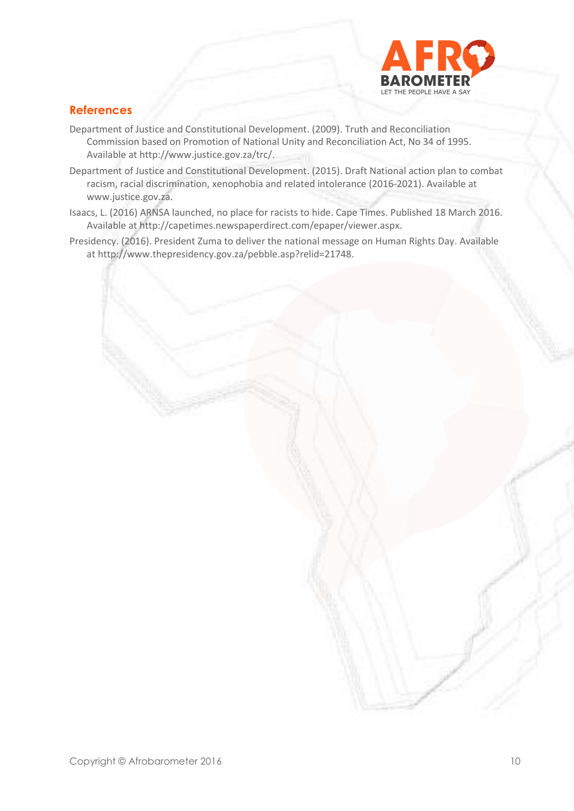

## **References**

- Department of Justice and Constitutional Development. (2009). Truth and Reconciliation Commission based on Promotion of National Unity and Reconciliation Act, No 34 of 1995. Available at [http://www.justice.gov.za/trc/.](http://www.justice.gov.za/trc/)
- Department of Justice and Constitutional Development. (2015). Draft National action plan to combat racism, racial discrimination, xenophobia and related intolerance (2016-2021). Available at [www.justice.gov.za.](http://www.justice.gov.za/)
- Isaacs, L. (2016) ARNSA launched, no place for racists to hide. Cape Times. Published 18 March 2016. Available at http://capetimes.newspaperdirect.com/epaper/viewer.aspx.
- Presidency. (2016). President Zuma to deliver the national message on Human Rights Day. Available a[t http://www.thepresidency.gov.za/pebble.asp?relid=21748.](http://www.thepresidency.gov.za/pebble.asp?relid=21748)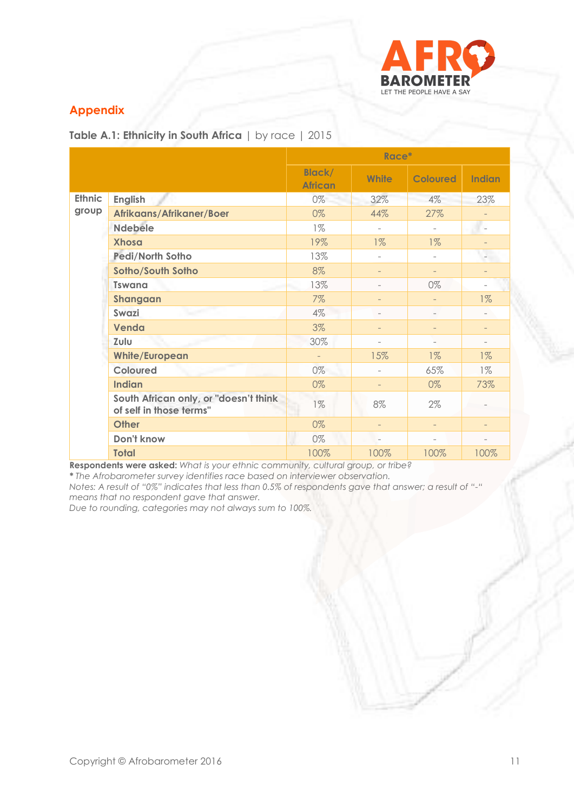

## **Appendix**

**Table A.1: Ethnicity in South Africa** | by race | 2015

|                        |                                                                  | Race*                           |                          |                          |                          |
|------------------------|------------------------------------------------------------------|---------------------------------|--------------------------|--------------------------|--------------------------|
|                        |                                                                  | <b>Black/</b><br><b>African</b> | <b>White</b>             | <b>Coloured</b>          | <b>Indian</b>            |
| <b>Ethnic</b><br>group | <b>English</b>                                                   | 0%                              | 32%                      | $4\%$                    | 23%                      |
|                        | Afrikaans/Afrikaner/Boer                                         | 0%                              | 44%                      | 27%                      |                          |
|                        | <b>Ndebele</b>                                                   | $1\%$                           | $\sim$                   |                          | ۰                        |
|                        | <b>Xhosa</b>                                                     | 19%                             | $1\%$                    | $1\%$                    | $\overline{\phantom{0}}$ |
|                        | <b>Pedi/North Sotho</b>                                          | 13%                             | $\overline{\phantom{0}}$ | ÷.                       |                          |
|                        | Sotho/South Sotho                                                | 8%                              | $\overline{\phantom{0}}$ | $\overline{\phantom{0}}$ |                          |
|                        | <b>Tswana</b>                                                    | 13%                             |                          | $0\%$                    |                          |
|                        | Shangaan                                                         | $7\%$                           | $\overline{\phantom{0}}$ | $\overline{\phantom{0}}$ | $1\%$                    |
|                        | Swazi                                                            | $4\%$                           | ÷                        | ÷.                       | $\overline{a}$           |
|                        | Venda                                                            | 3%                              |                          | $\overline{\phantom{0}}$ | $\overline{\phantom{0}}$ |
|                        | Zulu                                                             | 30%                             | $\overline{\phantom{a}}$ | -                        | ÷                        |
|                        | <b>White/European</b>                                            |                                 | 15%                      | $1\%$                    | $1\%$                    |
|                        | <b>Coloured</b>                                                  | 0%                              | ÷                        | 65%                      | $1\%$                    |
|                        | <b>Indian</b>                                                    | 0%                              |                          | 0%                       | 73%                      |
|                        | South African only, or "doesn't think<br>of self in those terms" | $1\%$                           | 8%                       | $2\%$                    |                          |
|                        | <b>Other</b>                                                     | 0%                              | $\qquad \qquad -$        | $\overline{\phantom{0}}$ | $\overline{\phantom{a}}$ |
|                        | Don't know                                                       | 0%                              | $\overline{\phantom{a}}$ | ÷                        |                          |
|                        | <b>Total</b>                                                     | 100%                            | 100%                     | 100%                     | 100%                     |

**Respondents were asked:** *What is your ethnic community, cultural group, or tribe?*

*\* The Afrobarometer survey identifies race based on interviewer observation.*

*Notes: A result of "0%" indicates that less than 0.5% of respondents gave that answer; a result of "-" means that no respondent gave that answer.*

*Due to rounding, categories may not always sum to 100%.*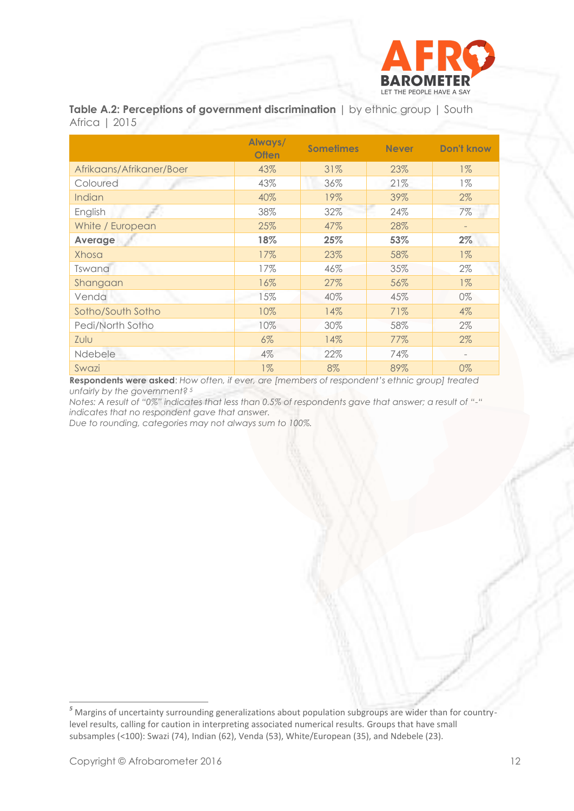

**Table A.2: Perceptions of government discrimination** | by ethnic group | South Africa | 2015

|                          | Always/<br><b>Often</b> | <b>Sometimes</b> | <b>Never</b> | <b>Don't know</b> |
|--------------------------|-------------------------|------------------|--------------|-------------------|
| Afrikaans/Afrikaner/Boer | 43%                     | 31%              | 23%          | $1\%$             |
| Coloured                 | 43%                     | 36%              | 21%          | $1\%$             |
| Indian                   | 40%                     | 19%              | 39%          | $2\%$             |
| English                  | 38%                     | 32%              | 24%          | 7%                |
| White / European         | 25%                     | 47%              | 28%          |                   |
| Average                  | 18%                     | 25%              | 53%          | 2%                |
| Xhosa                    | 17%                     | 23%              | 58%          | $1\%$             |
| Tswana                   | 17%                     | 46%              | 35%          | $2\%$             |
| Shangaan                 | 16%                     | 27%              | 56%          | $1\%$             |
| Venda                    | 15%                     | 40%              | 45%          | 0%                |
| Sotho/South Sotho        | 10%                     | 14%              | 71%          | $4\%$             |
| Pedi/North Sotho         | 10%                     | 30%              | 58%          | $2\%$             |
| Zulu                     | 6%                      | 14%              | 77%          | $2\%$             |
| <b>Ndebele</b>           | 4%                      | 22%              | 74%          |                   |
| Swazi                    | $1\%$                   | 8%               | 89%          | 0%                |

**Respondents were asked**: *How often, if ever, are [members of respondent's ethnic group] treated unfairly by the government? <sup>5</sup>*

*Notes: A result of "0%" indicates that less than 0.5% of respondents gave that answer; a result of "-" indicates that no respondent gave that answer.*

*Due to rounding, categories may not always sum to 100%.* 

*<sup>5</sup>* Margins of uncertainty surrounding generalizations about population subgroups are wider than for countrylevel results, calling for caution in interpreting associated numerical results. Groups that have small subsamples (<100): Swazi (74), Indian (62), Venda (53), White/European (35), and Ndebele (23).